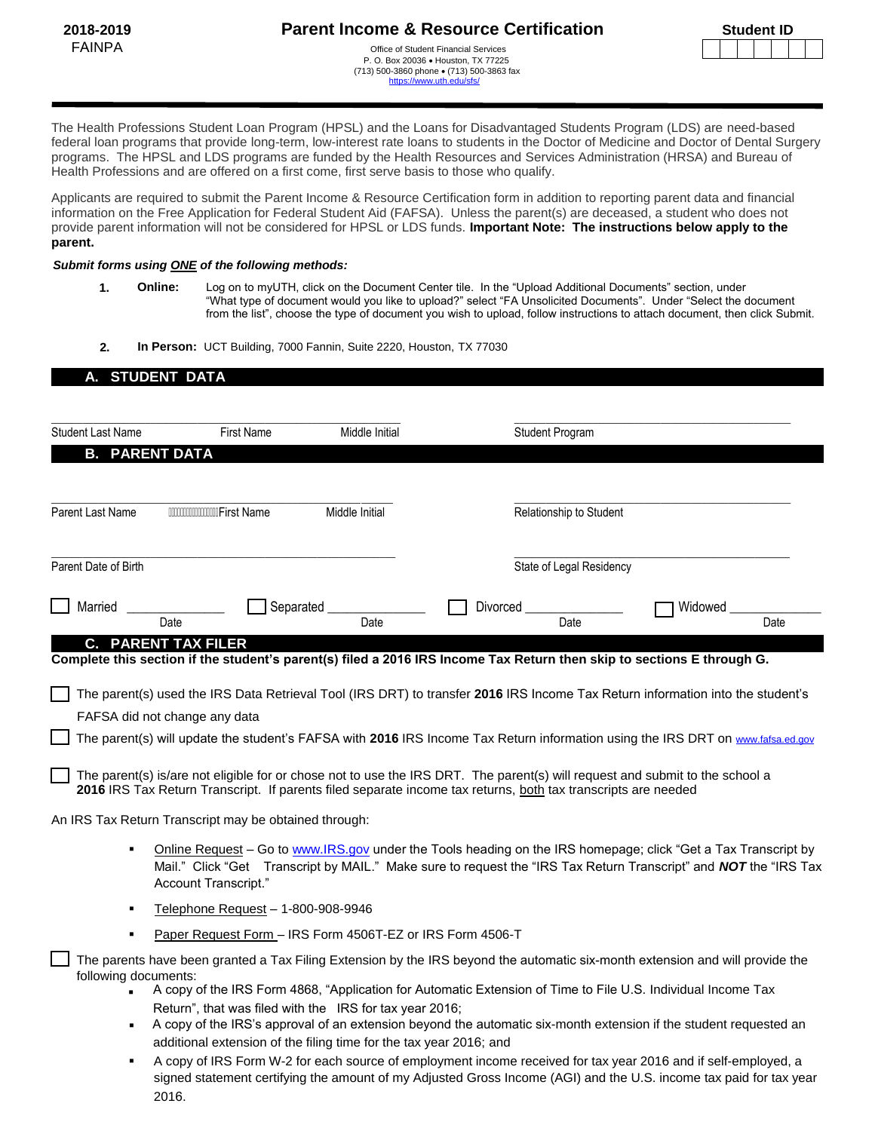[https://www.uth.edu/](https://www.uth.edu/sfs/)sfs/

| <b>Student ID</b> |  |  |  |  |  |  |
|-------------------|--|--|--|--|--|--|
|                   |  |  |  |  |  |  |

The Health Professions Student Loan Program (HPSL) and the Loans for Disadvantaged Students Program (LDS) are need-based federal loan programs that provide long-term, low-interest rate loans to students in the Doctor of Medicine and Doctor of Dental Surgery programs. The HPSL and LDS programs are funded by the Health Resources and Services Administration (HRSA) and Bureau of Health Professions and are offered on a first come, first serve basis to those who qualify.

Applicants are required to submit the Parent Income & Resource Certification form in addition to reporting parent data and financial information on the Free Application for Federal Student Aid (FAFSA). Unless the parent(s) are deceased, a student who does not provide parent information will not be considered for HPSL or LDS funds. **Important Note: The instructions below apply to the parent.** 

#### *Submit forms using ONE of the following methods:*

- **1. Online:** Log on to myUTH, click on the Document Center tile. In the "Upload Additional Documents" section, under "What type of document would you like to upload?" select "FA Unsolicited Documents". Under "Select the document from the list", choose the type of document you wish to upload, follow instructions to attach document, then click Submit.
- **2. In Person:** UCT Building, 7000 Fannin, Suite 2220, Houston, TX 77030

## **A. STUDENT DATA**

| <b>Student Last Name</b>   | <b>First Name</b>                                                                                                             | Middle Initial | <b>Student Program</b>                                                                                        |                                                                                                                                                                                                                                    |
|----------------------------|-------------------------------------------------------------------------------------------------------------------------------|----------------|---------------------------------------------------------------------------------------------------------------|------------------------------------------------------------------------------------------------------------------------------------------------------------------------------------------------------------------------------------|
| <b>B. PARENT DATA</b>      |                                                                                                                               |                |                                                                                                               |                                                                                                                                                                                                                                    |
|                            |                                                                                                                               |                |                                                                                                               |                                                                                                                                                                                                                                    |
| Parent Last Name           | First Name                                                                                                                    | Middle Initial | Relationship to Student                                                                                       |                                                                                                                                                                                                                                    |
| Parent Date of Birth       |                                                                                                                               |                | State of Legal Residency                                                                                      |                                                                                                                                                                                                                                    |
| Married                    | Separated                                                                                                                     |                | Divorced                                                                                                      | Widowed                                                                                                                                                                                                                            |
|                            | Date                                                                                                                          | Date           | Date                                                                                                          | Date                                                                                                                                                                                                                               |
| <b>C. PARENT TAX FILER</b> |                                                                                                                               |                |                                                                                                               | Complete this section if the student's parent(s) filed a 2016 IRS Income Tax Return then skip to sections E through G.                                                                                                             |
|                            |                                                                                                                               |                |                                                                                                               |                                                                                                                                                                                                                                    |
|                            |                                                                                                                               |                |                                                                                                               | The parent(s) used the IRS Data Retrieval Tool (IRS DRT) to transfer 2016 IRS Income Tax Return information into the student's                                                                                                     |
|                            | FAFSA did not change any data                                                                                                 |                |                                                                                                               |                                                                                                                                                                                                                                    |
|                            |                                                                                                                               |                |                                                                                                               | The parent(s) will update the student's FAFSA with 2016 IRS Income Tax Return information using the IRS DRT on www.fafsa.ed.gov                                                                                                    |
|                            |                                                                                                                               |                | 2016 IRS Tax Return Transcript. If parents filed separate income tax returns, both tax transcripts are needed | The parent(s) is/are not eligible for or chose not to use the IRS DRT. The parent(s) will request and submit to the school a                                                                                                       |
|                            | An IRS Tax Return Transcript may be obtained through:                                                                         |                |                                                                                                               |                                                                                                                                                                                                                                    |
| ٠                          | Account Transcript."                                                                                                          |                |                                                                                                               | Online Request – Go to www.IRS.gov under the Tools heading on the IRS homepage; click "Get a Tax Transcript by<br>Mail." Click "Get Transcript by MAIL." Make sure to request the "IRS Tax Return Transcript" and NOT the "IRS Tax |
|                            | Telephone Request - 1-800-908-9946                                                                                            |                |                                                                                                               |                                                                                                                                                                                                                                    |
|                            | Paper Request Form - IRS Form 4506T-EZ or IRS Form 4506-T                                                                     |                |                                                                                                               |                                                                                                                                                                                                                                    |
| following documents:       |                                                                                                                               |                |                                                                                                               | The parents have been granted a Tax Filing Extension by the IRS beyond the automatic six-month extension and will provide the                                                                                                      |
|                            |                                                                                                                               |                |                                                                                                               | A copy of the IRS Form 4868, "Application for Automatic Extension of Time to File U.S. Individual Income Tax                                                                                                                       |
|                            | Return", that was filed with the IRS for tax year 2016;<br>additional extension of the filing time for the tax year 2016; and |                |                                                                                                               | A copy of the IRS's approval of an extension beyond the automatic six-month extension if the student requested an                                                                                                                  |
|                            |                                                                                                                               |                |                                                                                                               | $\Lambda$ contract IDO Franc MLO frame the course of capabilities of the contract frame of the support of $\Lambda$ and $\Lambda$ and $\Lambda$ and $\Lambda$ are $\Lambda$ and $\Lambda$                                          |

 A copy of IRS Form W-2 for each source of employment income received for tax year 2016 and if self-employed, a signed statement certifying the amount of my Adjusted Gross Income (AGI) and the U.S. income tax paid for tax year 2016.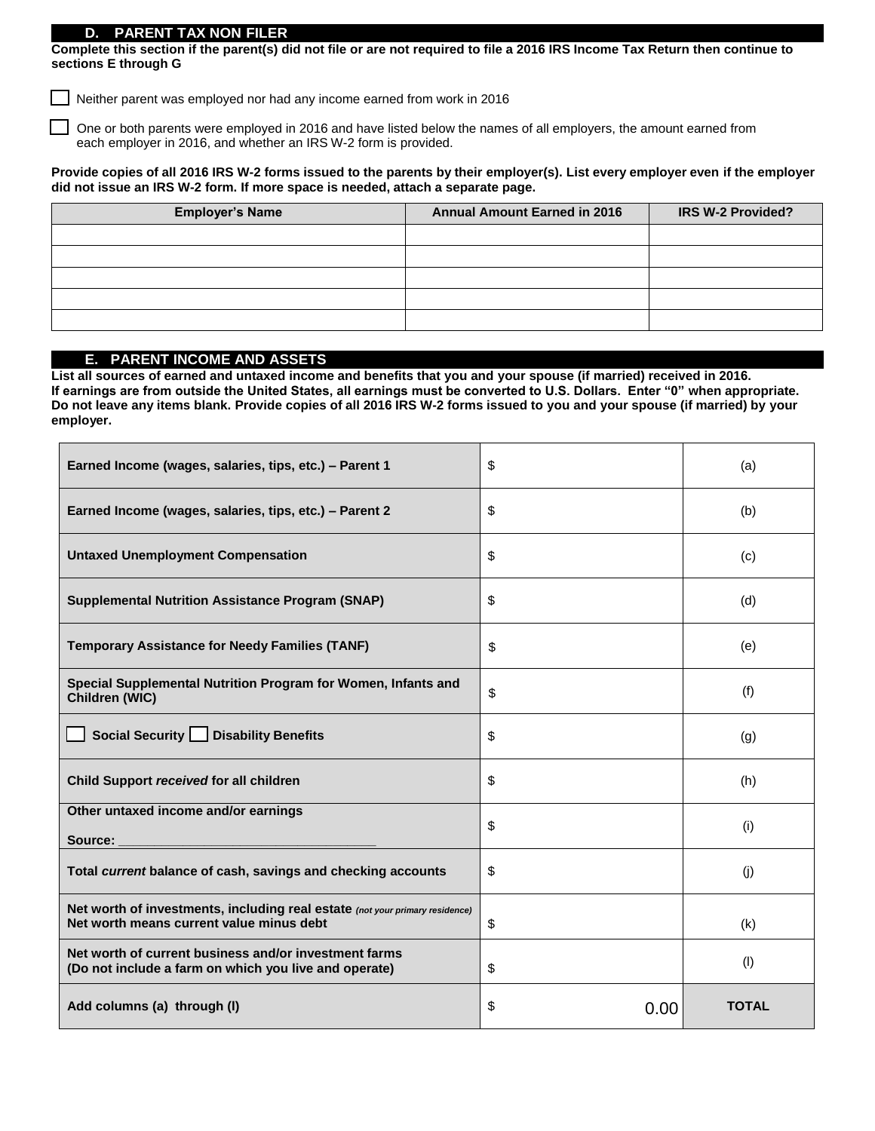### **D. PARENT TAX NON-FILER**

Г

**Complete this section if the parent(s) did not file or are not required to file a 2016 IRS Income Tax Return then continue to sections E through G**

Neither parent was employed nor had any income earned from work in 2016

 One or both parents were employed in 2016 and have listed below the names of all employers, the amount earned from each employer in 2016, and whether an IRS W-2 form is provided.

### **Provide copies of all 2016 IRS W-2 forms issued to the parents by their employer(s). List every employer even if the employer did not issue an IRS W-2 form. If more space is needed, attach a separate page.**

| <b>Employer's Name</b> | <b>Annual Amount Earned in 2016</b> | <b>IRS W-2 Provided?</b> |
|------------------------|-------------------------------------|--------------------------|
|                        |                                     |                          |
|                        |                                     |                          |
|                        |                                     |                          |
|                        |                                     |                          |
|                        |                                     |                          |

# **E. PARENT INCOME AND ASSETS**

**List all sources of earned and untaxed income and benefits that you and your spouse (if married) received in 2016. If earnings are from outside the United States, all earnings must be converted to U.S. Dollars. Enter "0" when appropriate. Do not leave any items blank. Provide copies of all 2016 IRS W-2 forms issued to you and your spouse (if married) by your employer.** 

| Earned Income (wages, salaries, tips, etc.) - Parent 1                                                                   | \$         | (a)          |
|--------------------------------------------------------------------------------------------------------------------------|------------|--------------|
| Earned Income (wages, salaries, tips, etc.) - Parent 2                                                                   | \$         | (b)          |
| <b>Untaxed Unemployment Compensation</b>                                                                                 | \$         | (c)          |
| <b>Supplemental Nutrition Assistance Program (SNAP)</b>                                                                  | \$         | (d)          |
| <b>Temporary Assistance for Needy Families (TANF)</b>                                                                    | \$         | (e)          |
| Special Supplemental Nutrition Program for Women, Infants and<br>Children (WIC)                                          | \$         | (f)          |
| Social Security   Disability Benefits                                                                                    | \$         | (g)          |
| Child Support received for all children                                                                                  | \$         | (h)          |
| Other untaxed income and/or earnings<br>Source:                                                                          | \$         | (i)          |
| Total current balance of cash, savings and checking accounts                                                             | \$         | (i)          |
| Net worth of investments, including real estate (not your primary residence)<br>Net worth means current value minus debt | \$         | (k)          |
| Net worth of current business and/or investment farms<br>(Do not include a farm on which you live and operate)           | \$         | (1)          |
| Add columns (a) through (I)                                                                                              | \$<br>0.00 | <b>TOTAL</b> |